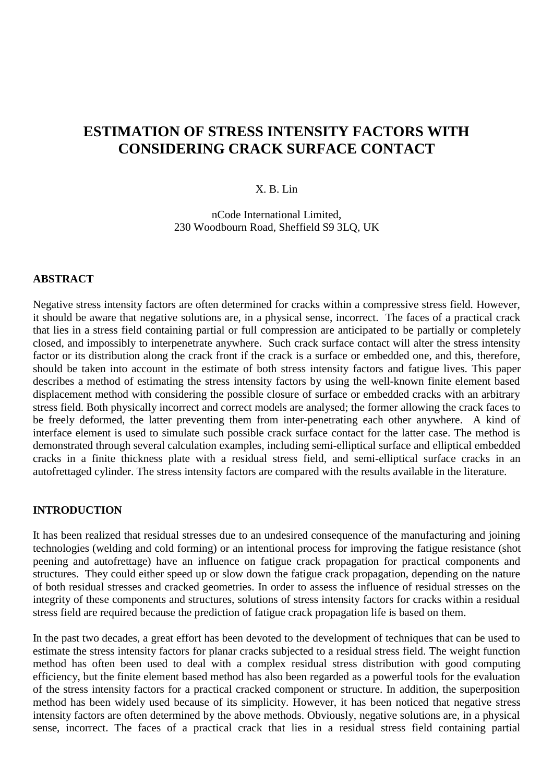# **ESTIMATION OF STRESS INTENSITY FACTORS WITH CONSIDERING CRACK SURFACE CONTACT**

# X. B. Lin

nCode International Limited, 230 Woodbourn Road, Sheffield S9 3LQ, UK

## **ABSTRACT**

Negative stress intensity factors are often determined for cracks within a compressive stress field. However, it should be aware that negative solutions are, in a physical sense, incorrect. The faces of a practical crack that lies in a stress field containing partial or full compression are anticipated to be partially or completely closed, and impossibly to interpenetrate anywhere. Such crack surface contact will alter the stress intensity factor or its distribution along the crack front if the crack is a surface or embedded one, and this, therefore, should be taken into account in the estimate of both stress intensity factors and fatigue lives. This paper describes a method of estimating the stress intensity factors by using the well-known finite element based displacement method with considering the possible closure of surface or embedded cracks with an arbitrary stress field. Both physically incorrect and correct models are analysed; the former allowing the crack faces to be freely deformed, the latter preventing them from inter-penetrating each other anywhere. A kind of interface element is used to simulate such possible crack surface contact for the latter case. The method is demonstrated through several calculation examples, including semi-elliptical surface and elliptical embedded cracks in a finite thickness plate with a residual stress field, and semi-elliptical surface cracks in an autofrettaged cylinder. The stress intensity factors are compared with the results available in the literature.

#### **INTRODUCTION**

It has been realized that residual stresses due to an undesired consequence of the manufacturing and joining technologies (welding and cold forming) or an intentional process for improving the fatigue resistance (shot peening and autofrettage) have an influence on fatigue crack propagation for practical components and structures. They could either speed up or slow down the fatigue crack propagation, depending on the nature of both residual stresses and cracked geometries. In order to assess the influence of residual stresses on the integrity of these components and structures, solutions of stress intensity factors for cracks within a residual stress field are required because the prediction of fatigue crack propagation life is based on them.

In the past two decades, a great effort has been devoted to the development of techniques that can be used to estimate the stress intensity factors for planar cracks subjected to a residual stress field. The weight function method has often been used to deal with a complex residual stress distribution with good computing efficiency, but the finite element based method has also been regarded as a powerful tools for the evaluation of the stress intensity factors for a practical cracked component or structure. In addition, the superposition method has been widely used because of its simplicity. However, it has been noticed that negative stress intensity factors are often determined by the above methods. Obviously, negative solutions are, in a physical sense, incorrect. The faces of a practical crack that lies in a residual stress field containing partial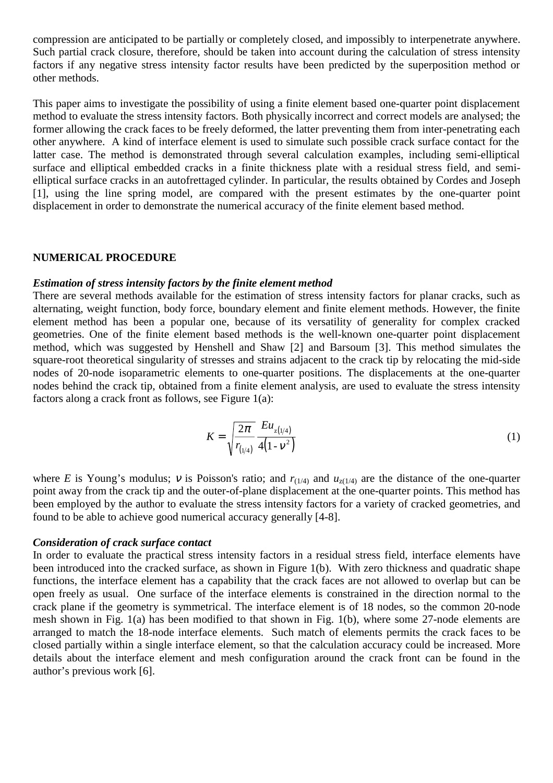compression are anticipated to be partially or completely closed, and impossibly to interpenetrate anywhere. Such partial crack closure, therefore, should be taken into account during the calculation of stress intensity factors if any negative stress intensity factor results have been predicted by the superposition method or other methods.

This paper aims to investigate the possibility of using a finite element based one-quarter point displacement method to evaluate the stress intensity factors. Both physically incorrect and correct models are analysed; the former allowing the crack faces to be freely deformed, the latter preventing them from inter-penetrating each other anywhere. A kind of interface element is used to simulate such possible crack surface contact for the latter case. The method is demonstrated through several calculation examples, including semi-elliptical surface and elliptical embedded cracks in a finite thickness plate with a residual stress field, and semielliptical surface cracks in an autofrettaged cylinder. In particular, the results obtained by Cordes and Joseph [1], using the line spring model, are compared with the present estimates by the one-quarter point displacement in order to demonstrate the numerical accuracy of the finite element based method.

#### **NUMERICAL PROCEDURE**

# *Estimation of stress intensity factors by the finite element method*

There are several methods available for the estimation of stress intensity factors for planar cracks, such as alternating, weight function, body force, boundary element and finite element methods. However, the finite element method has been a popular one, because of its versatility of generality for complex cracked geometries. One of the finite element based methods is the well-known one-quarter point displacement method, which was suggested by Henshell and Shaw [2] and Barsoum [3]. This method simulates the square-root theoretical singularity of stresses and strains adjacent to the crack tip by relocating the mid-side nodes of 20-node isoparametric elements to one-quarter positions. The displacements at the one-quarter nodes behind the crack tip, obtained from a finite element analysis, are used to evaluate the stress intensity factors along a crack front as follows, see Figure 1(a):

$$
K = \sqrt{\frac{2\pi}{r_{(1/4)}}} \frac{Eu_{z(1/4)}}{4(1 - v^2)}
$$
(1)

where *E* is Young's modulus; *v* is Poisson's ratio; and  $r_{(1/4)}$  and  $u_{z(1/4)}$  are the distance of the one-quarter point away from the crack tip and the outer-of-plane displacement at the one-quarter points. This method has been employed by the author to evaluate the stress intensity factors for a variety of cracked geometries, and found to be able to achieve good numerical accuracy generally [4-8].

#### *Consideration of crack surface contact*

In order to evaluate the practical stress intensity factors in a residual stress field, interface elements have been introduced into the cracked surface, as shown in Figure 1(b). With zero thickness and quadratic shape functions, the interface element has a capability that the crack faces are not allowed to overlap but can be open freely as usual. One surface of the interface elements is constrained in the direction normal to the crack plane if the geometry is symmetrical. The interface element is of 18 nodes, so the common 20-node mesh shown in Fig. 1(a) has been modified to that shown in Fig. 1(b), where some 27-node elements are arranged to match the 18-node interface elements. Such match of elements permits the crack faces to be closed partially within a single interface element, so that the calculation accuracy could be increased. More details about the interface element and mesh configuration around the crack front can be found in the author's previous work [6].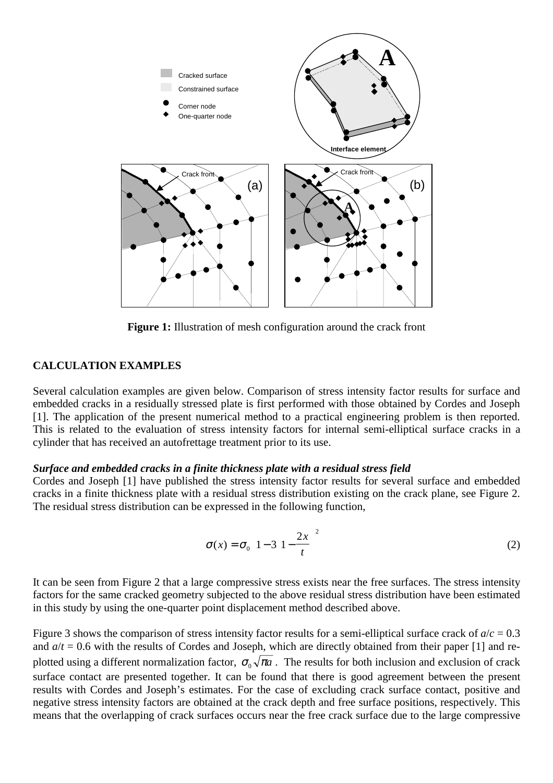

**Figure 1:** Illustration of mesh configuration around the crack front

# **CALCULATION EXAMPLES**

Several calculation examples are given below. Comparison of stress intensity factor results for surface and embedded cracks in a residually stressed plate is first performed with those obtained by Cordes and Joseph [1]. The application of the present numerical method to a practical engineering problem is then reported. This is related to the evaluation of stress intensity factors for internal semi-elliptical surface cracks in a cylinder that has received an autofrettage treatment prior to its use.

# *Surface and embedded cracks in a finite thickness plate with a residual stress field*

Cordes and Joseph [1] have published the stress intensity factor results for several surface and embedded cracks in a finite thickness plate with a residual stress distribution existing on the crack plane, see Figure 2. The residual stress distribution can be expressed in the following function,

$$
\sigma(x) = \sigma_0 \left( 1 - 3 \left( 1 - \frac{2x}{t} \right)^2 \right) \tag{2}
$$

It can be seen from Figure 2 that a large compressive stress exists near the free surfaces. The stress intensity factors for the same cracked geometry subjected to the above residual stress distribution have been estimated in this study by using the one-quarter point displacement method described above.

Figure 3 shows the comparison of stress intensity factor results for a semi-elliptical surface crack of *a*/*c* = 0.3 and  $a/t = 0.6$  with the results of Cordes and Joseph, which are directly obtained from their paper [1] and replotted using a different normalization factor,  $\sigma_0 \sqrt{\pi a}$ . The results for both inclusion and exclusion of crack surface contact are presented together. It can be found that there is good agreement between the present results with Cordes and Joseph's estimates. For the case of excluding crack surface contact, positive and negative stress intensity factors are obtained at the crack depth and free surface positions, respectively. This means that the overlapping of crack surfaces occurs near the free crack surface due to the large compressive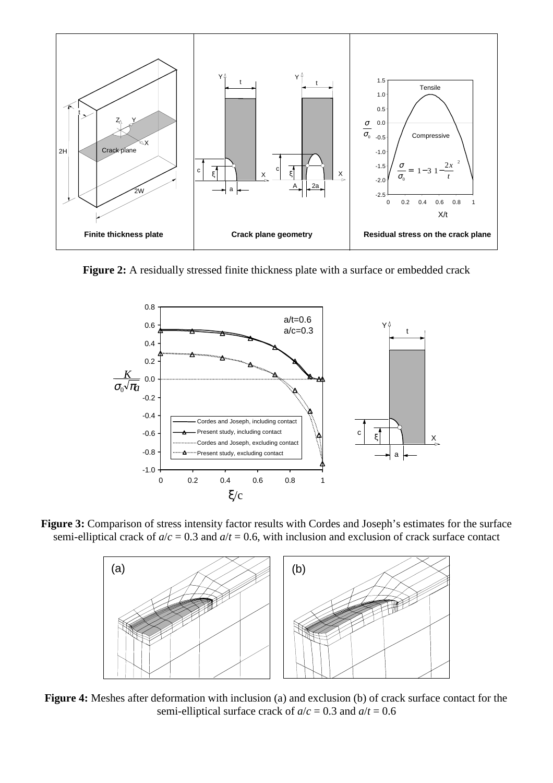

**Figure 2:** A residually stressed finite thickness plate with a surface or embedded crack



**Figure 3:** Comparison of stress intensity factor results with Cordes and Joseph's estimates for the surface semi-elliptical crack of  $a/c = 0.3$  and  $a/t = 0.6$ , with inclusion and exclusion of crack surface contact



**Figure 4:** Meshes after deformation with inclusion (a) and exclusion (b) of crack surface contact for the semi-elliptical surface crack of  $a/c = 0.3$  and  $a/t = 0.6$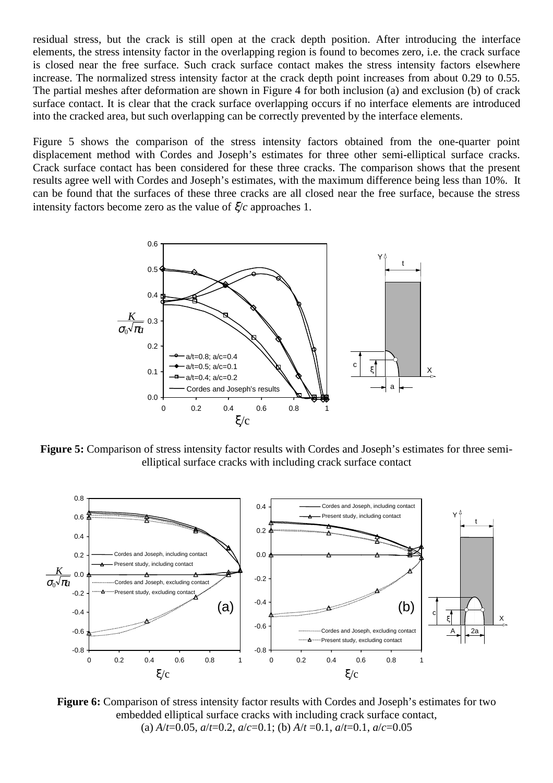residual stress, but the crack is still open at the crack depth position. After introducing the interface elements, the stress intensity factor in the overlapping region is found to becomes zero, i.e. the crack surface is closed near the free surface. Such crack surface contact makes the stress intensity factors elsewhere increase. The normalized stress intensity factor at the crack depth point increases from about 0.29 to 0.55. The partial meshes after deformation are shown in Figure 4 for both inclusion (a) and exclusion (b) of crack surface contact. It is clear that the crack surface overlapping occurs if no interface elements are introduced into the cracked area, but such overlapping can be correctly prevented by the interface elements.

Figure 5 shows the comparison of the stress intensity factors obtained from the one-quarter point displacement method with Cordes and Joseph's estimates for three other semi-elliptical surface cracks. Crack surface contact has been considered for these three cracks. The comparison shows that the present results agree well with Cordes and Joseph's estimates, with the maximum difference being less than 10%. It can be found that the surfaces of these three cracks are all closed near the free surface, because the stress intensity factors become zero as the value of ξ/*c* approaches 1.



**Figure 5:** Comparison of stress intensity factor results with Cordes and Joseph's estimates for three semielliptical surface cracks with including crack surface contact



**Figure 6:** Comparison of stress intensity factor results with Cordes and Joseph's estimates for two embedded elliptical surface cracks with including crack surface contact, (a) *A*/*t*=0.05, *a*/*t*=0.2, *a*/*c*=0.1; (b) *A*/*t* =0.1, *a*/*t*=0.1, *a*/*c*=0.05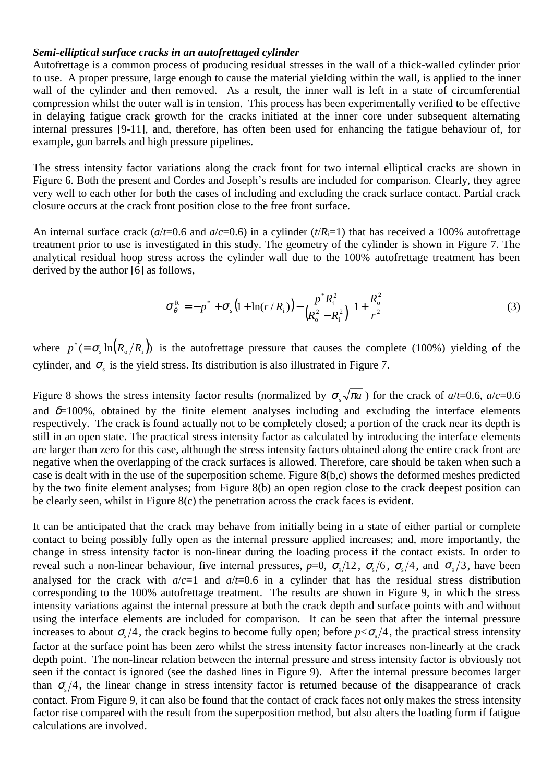## *Semi-elliptical surface cracks in an autofrettaged cylinder*

Autofrettage is a common process of producing residual stresses in the wall of a thick-walled cylinder prior to use. A proper pressure, large enough to cause the material yielding within the wall, is applied to the inner wall of the cylinder and then removed. As a result, the inner wall is left in a state of circumferential compression whilst the outer wall is in tension. This process has been experimentally verified to be effective in delaying fatigue crack growth for the cracks initiated at the inner core under subsequent alternating internal pressures [9-11], and, therefore, has often been used for enhancing the fatigue behaviour of, for example, gun barrels and high pressure pipelines.

The stress intensity factor variations along the crack front for two internal elliptical cracks are shown in Figure 6. Both the present and Cordes and Joseph's results are included for comparison. Clearly, they agree very well to each other for both the cases of including and excluding the crack surface contact. Partial crack closure occurs at the crack front position close to the free front surface.

An internal surface crack ( $a/t=0.6$  and  $a/c=0.6$ ) in a cylinder ( $t/R<sub>i</sub>=1$ ) that has received a 100% autofrettage treatment prior to use is investigated in this study. The geometry of the cylinder is shown in Figure 7. The analytical residual hoop stress across the cylinder wall due to the 100% autofrettage treatment has been derived by the author [6] as follows,

$$
\sigma_{\theta}^{R} = -p^{*} + \sigma_{s} \left( 1 + \ln(r/R_{i}) \right) - \frac{p^{*} R_{i}^{2}}{\left( R_{o}^{2} - R_{i}^{2} \right)} \left( 1 + \frac{R_{o}^{2}}{r^{2}} \right)
$$
(3)

where  $p^* (= \sigma_s \ln(R_o/R_i))$  is the autofrettage pressure that causes the complete (100%) yielding of the cylinder, and  $\sigma_s$  is the yield stress. Its distribution is also illustrated in Figure 7.

Figure 8 shows the stress intensity factor results (normalized by  $\sigma \sqrt{\pi a}$ ) for the crack of  $a/t=0.6$ ,  $a/c=0.6$ and  $\delta$ =100%, obtained by the finite element analyses including and excluding the interface elements respectively. The crack is found actually not to be completely closed; a portion of the crack near its depth is still in an open state. The practical stress intensity factor as calculated by introducing the interface elements are larger than zero for this case, although the stress intensity factors obtained along the entire crack front are negative when the overlapping of the crack surfaces is allowed. Therefore, care should be taken when such a case is dealt with in the use of the superposition scheme. Figure 8(b,c) shows the deformed meshes predicted by the two finite element analyses; from Figure 8(b) an open region close to the crack deepest position can be clearly seen, whilst in Figure 8(c) the penetration across the crack faces is evident.

It can be anticipated that the crack may behave from initially being in a state of either partial or complete contact to being possibly fully open as the internal pressure applied increases; and, more importantly, the change in stress intensity factor is non-linear during the loading process if the contact exists. In order to reveal such a non-linear behaviour, five internal pressures,  $p=0$ ,  $\sigma_{s}/12$ ,  $\sigma_{s}/6$ ,  $\sigma_{s}/4$ , and  $\sigma_{s}/3$ , have been analysed for the crack with  $a/c=1$  and  $a/t=0.6$  in a cylinder that has the residual stress distribution corresponding to the 100% autofrettage treatment. The results are shown in Figure 9, in which the stress intensity variations against the internal pressure at both the crack depth and surface points with and without using the interface elements are included for comparison. It can be seen that after the internal pressure increases to about  $\sigma_s/4$ , the crack begins to become fully open; before  $p < \sigma_s/4$ , the practical stress intensity factor at the surface point has been zero whilst the stress intensity factor increases non-linearly at the crack depth point. The non-linear relation between the internal pressure and stress intensity factor is obviously not seen if the contact is ignored (see the dashed lines in Figure 9). After the internal pressure becomes larger than  $\sigma$ <sub>s</sub>/4, the linear change in stress intensity factor is returned because of the disappearance of crack contact. From Figure 9, it can also be found that the contact of crack faces not only makes the stress intensity factor rise compared with the result from the superposition method, but also alters the loading form if fatigue calculations are involved.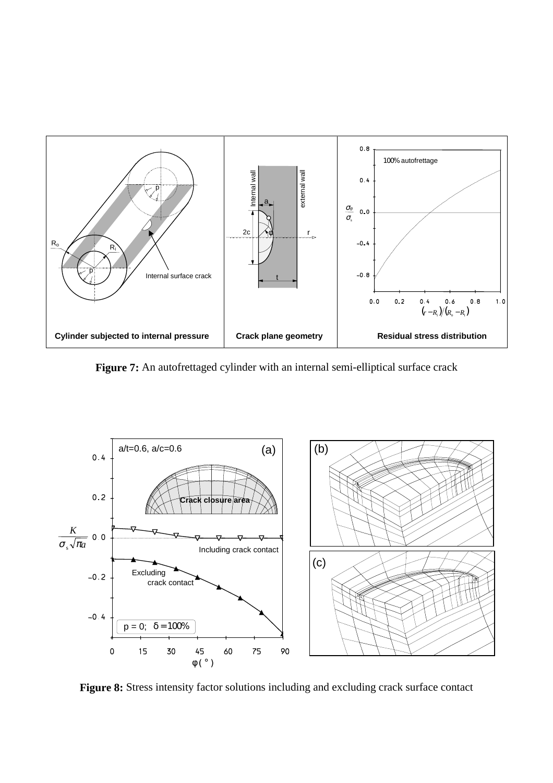

**Figure 7:** An autofrettaged cylinder with an internal semi-elliptical surface crack



**Figure 8:** Stress intensity factor solutions including and excluding crack surface contact